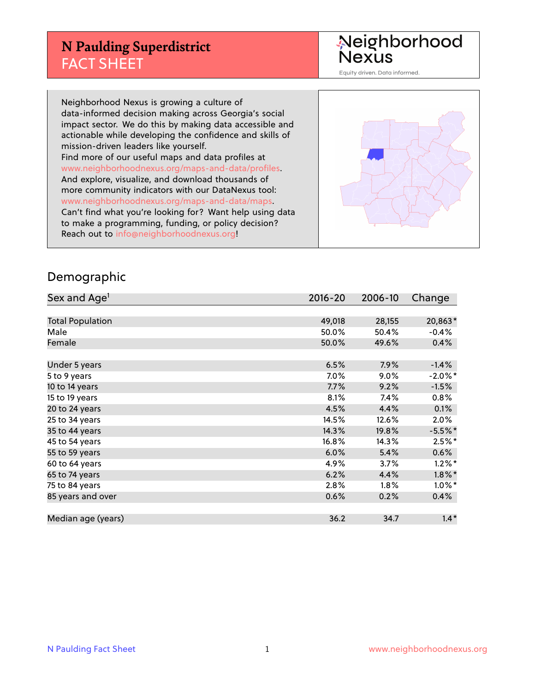## **N Paulding Superdistrict** FACT SHEET

Neighborhood<br>Nexus

Equity driven. Data informed.

Neighborhood Nexus is growing a culture of data-informed decision making across Georgia's social impact sector. We do this by making data accessible and actionable while developing the confidence and skills of mission-driven leaders like yourself. Find more of our useful maps and data profiles at www.neighborhoodnexus.org/maps-and-data/profiles. And explore, visualize, and download thousands of more community indicators with our DataNexus tool: www.neighborhoodnexus.org/maps-and-data/maps. Can't find what you're looking for? Want help using data to make a programming, funding, or policy decision? Reach out to [info@neighborhoodnexus.org!](mailto:info@neighborhoodnexus.org)



#### Demographic

| Sex and Age <sup>1</sup> | $2016 - 20$ | 2006-10 | Change     |
|--------------------------|-------------|---------|------------|
|                          |             |         |            |
| <b>Total Population</b>  | 49,018      | 28,155  | 20,863*    |
| Male                     | 50.0%       | 50.4%   | $-0.4%$    |
| Female                   | 50.0%       | 49.6%   | 0.4%       |
|                          |             |         |            |
| Under 5 years            | 6.5%        | 7.9%    | $-1.4%$    |
| 5 to 9 years             | 7.0%        | $9.0\%$ | $-2.0\%$ * |
| 10 to 14 years           | 7.7%        | 9.2%    | $-1.5%$    |
| 15 to 19 years           | 8.1%        | 7.4%    | 0.8%       |
| 20 to 24 years           | 4.5%        | 4.4%    | 0.1%       |
| 25 to 34 years           | 14.5%       | 12.6%   | $2.0\%$    |
| 35 to 44 years           | 14.3%       | 19.8%   | $-5.5%$ *  |
| 45 to 54 years           | 16.8%       | 14.3%   | $2.5%$ *   |
| 55 to 59 years           | 6.0%        | 5.4%    | 0.6%       |
| 60 to 64 years           | 4.9%        | 3.7%    | $1.2\%$ *  |
| 65 to 74 years           | 6.2%        | 4.4%    | $1.8\%$ *  |
| 75 to 84 years           | 2.8%        | 1.8%    | $1.0\%$ *  |
| 85 years and over        | 0.6%        | 0.2%    | $0.4\%$    |
|                          |             |         |            |
| Median age (years)       | 36.2        | 34.7    | $1.4*$     |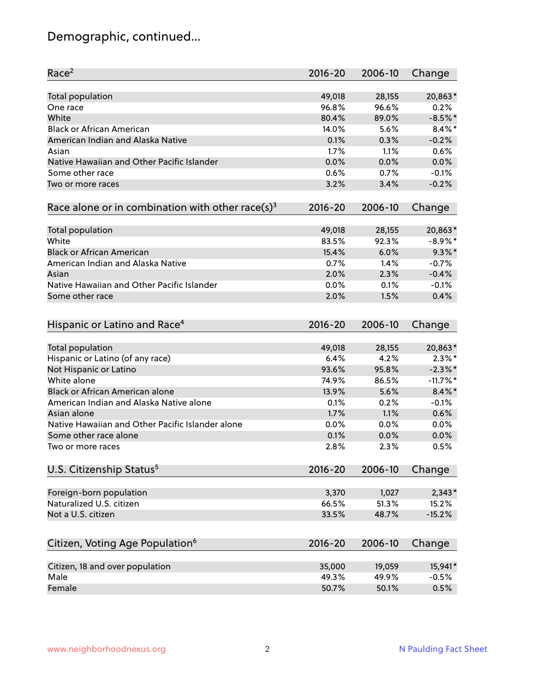# Demographic, continued...

| Race <sup>2</sup>                                            | $2016 - 20$ | 2006-10 | Change             |
|--------------------------------------------------------------|-------------|---------|--------------------|
| Total population                                             | 49,018      | 28,155  | 20,863*            |
| One race                                                     | 96.8%       | 96.6%   | 0.2%               |
| White                                                        | 80.4%       | 89.0%   | $-8.5%$ *          |
| <b>Black or African American</b>                             | 14.0%       | 5.6%    | $8.4\%$ *          |
| American Indian and Alaska Native                            | 0.1%        | 0.3%    | $-0.2%$            |
| Asian                                                        | 1.7%        | 1.1%    | 0.6%               |
| Native Hawaiian and Other Pacific Islander                   | 0.0%        | 0.0%    | 0.0%               |
| Some other race                                              | 0.6%        | 0.7%    | $-0.1%$            |
| Two or more races                                            | 3.2%        | 3.4%    | $-0.2%$            |
| Race alone or in combination with other race(s) <sup>3</sup> | $2016 - 20$ | 2006-10 | Change             |
|                                                              |             |         |                    |
| Total population                                             | 49,018      | 28,155  | 20,863*            |
| White                                                        | 83.5%       | 92.3%   | $-8.9\%$ *         |
| <b>Black or African American</b>                             | 15.4%       | 6.0%    | $9.3\%$ *          |
| American Indian and Alaska Native                            | 0.7%        | 1.4%    | $-0.7%$            |
| Asian                                                        | 2.0%        | 2.3%    | $-0.4%$            |
| Native Hawaiian and Other Pacific Islander                   | 0.0%        | 0.1%    | $-0.1%$            |
| Some other race                                              | 2.0%        | 1.5%    | 0.4%               |
|                                                              |             |         |                    |
| Hispanic or Latino and Race <sup>4</sup>                     | $2016 - 20$ | 2006-10 | Change             |
|                                                              |             |         |                    |
| Total population                                             | 49,018      | 28,155  | 20,863*            |
| Hispanic or Latino (of any race)                             | 6.4%        | 4.2%    | $2.3\%$ *          |
| Not Hispanic or Latino                                       | 93.6%       | 95.8%   | $-2.3\%$ *         |
| White alone                                                  | 74.9%       | 86.5%   | $-11.7%$           |
| Black or African American alone                              | 13.9%       | 5.6%    | $8.4\%$ *          |
| American Indian and Alaska Native alone                      | 0.1%        | 0.2%    | $-0.1%$            |
| Asian alone                                                  | 1.7%        | 1.1%    | 0.6%               |
| Native Hawaiian and Other Pacific Islander alone             | 0.0%        | 0.0%    | 0.0%               |
| Some other race alone                                        | 0.1%        | 0.0%    | 0.0%               |
| Two or more races                                            | 2.8%        | 2.3%    | 0.5%               |
| U.S. Citizenship Status <sup>5</sup>                         | $2016 - 20$ | 2006-10 | Change             |
|                                                              |             |         |                    |
| Foreign-born population                                      | 3,370       | 1,027   | $2,343*$           |
| Naturalized U.S. citizen                                     | 66.5%       | 51.3%   | 15.2%              |
| Not a U.S. citizen                                           | 33.5%       | 48.7%   | $-15.2%$           |
| Citizen, Voting Age Population <sup>6</sup>                  | $2016 - 20$ | 2006-10 | Change             |
|                                                              |             |         |                    |
| Citizen, 18 and over population<br>Male                      | 35,000      | 19,059  | 15,941*<br>$-0.5%$ |
|                                                              | 49.3%       | 49.9%   |                    |
| Female                                                       | 50.7%       | 50.1%   | 0.5%               |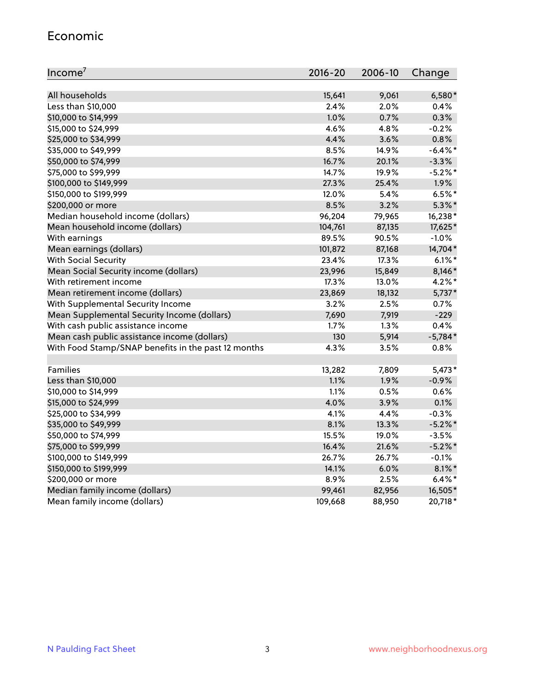#### Economic

| Income <sup>7</sup>                                 | $2016 - 20$ | 2006-10 | Change     |
|-----------------------------------------------------|-------------|---------|------------|
|                                                     |             |         |            |
| All households                                      | 15,641      | 9,061   | 6,580*     |
| Less than \$10,000                                  | 2.4%        | 2.0%    | 0.4%       |
| \$10,000 to \$14,999                                | 1.0%        | 0.7%    | 0.3%       |
| \$15,000 to \$24,999                                | 4.6%        | 4.8%    | $-0.2%$    |
| \$25,000 to \$34,999                                | 4.4%        | 3.6%    | 0.8%       |
| \$35,000 to \$49,999                                | 8.5%        | 14.9%   | $-6.4\%$ * |
| \$50,000 to \$74,999                                | 16.7%       | 20.1%   | $-3.3%$    |
| \$75,000 to \$99,999                                | 14.7%       | 19.9%   | $-5.2%$ *  |
| \$100,000 to \$149,999                              | 27.3%       | 25.4%   | 1.9%       |
| \$150,000 to \$199,999                              | 12.0%       | 5.4%    | $6.5%$ *   |
| \$200,000 or more                                   | 8.5%        | 3.2%    | $5.3\%$ *  |
| Median household income (dollars)                   | 96,204      | 79,965  | 16,238*    |
| Mean household income (dollars)                     | 104,761     | 87,135  | 17,625*    |
| With earnings                                       | 89.5%       | 90.5%   | $-1.0%$    |
| Mean earnings (dollars)                             | 101,872     | 87,168  | 14,704*    |
| <b>With Social Security</b>                         | 23.4%       | 17.3%   | $6.1\%$ *  |
| Mean Social Security income (dollars)               | 23,996      | 15,849  | 8,146*     |
| With retirement income                              | 17.3%       | 13.0%   | $4.2\%$ *  |
| Mean retirement income (dollars)                    | 23,869      | 18,132  | $5,737*$   |
| With Supplemental Security Income                   | $3.2\%$     | 2.5%    | 0.7%       |
| Mean Supplemental Security Income (dollars)         | 7,690       | 7,919   | $-229$     |
| With cash public assistance income                  | 1.7%        | 1.3%    | 0.4%       |
| Mean cash public assistance income (dollars)        | 130         | 5,914   | $-5,784*$  |
| With Food Stamp/SNAP benefits in the past 12 months | 4.3%        | 3.5%    | 0.8%       |
|                                                     |             |         |            |
| Families                                            | 13,282      | 7,809   | $5,473*$   |
| Less than \$10,000                                  | 1.1%        | 1.9%    | $-0.9%$    |
| \$10,000 to \$14,999                                | 1.1%        | 0.5%    | 0.6%       |
| \$15,000 to \$24,999                                | 4.0%        | 3.9%    | 0.1%       |
| \$25,000 to \$34,999                                | 4.1%        | 4.4%    | $-0.3%$    |
| \$35,000 to \$49,999                                | 8.1%        | 13.3%   | $-5.2\%$ * |
| \$50,000 to \$74,999                                | 15.5%       | 19.0%   | $-3.5%$    |
| \$75,000 to \$99,999                                | 16.4%       | 21.6%   | $-5.2%$ *  |
| \$100,000 to \$149,999                              | 26.7%       | 26.7%   | $-0.1%$    |
| \$150,000 to \$199,999                              | 14.1%       | 6.0%    | $8.1\%$ *  |
| \$200,000 or more                                   | 8.9%        | 2.5%    | $6.4\%$ *  |
| Median family income (dollars)                      | 99,461      | 82,956  | 16,505*    |
| Mean family income (dollars)                        | 109,668     | 88,950  | 20,718*    |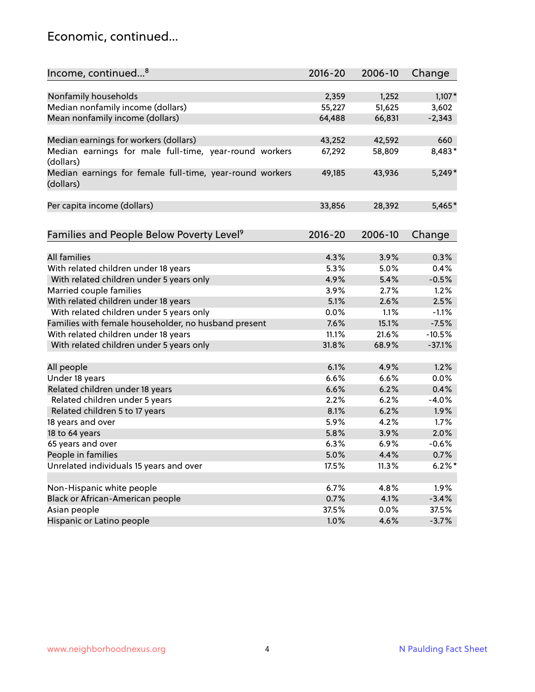#### Economic, continued...

| Income, continued <sup>8</sup>                                        | $2016 - 20$ | 2006-10 | Change    |
|-----------------------------------------------------------------------|-------------|---------|-----------|
|                                                                       |             |         |           |
| Nonfamily households                                                  | 2,359       | 1,252   | $1,107*$  |
| Median nonfamily income (dollars)                                     | 55,227      | 51,625  | 3,602     |
| Mean nonfamily income (dollars)                                       | 64,488      | 66,831  | $-2,343$  |
|                                                                       |             |         |           |
| Median earnings for workers (dollars)                                 | 43,252      | 42,592  | 660       |
| Median earnings for male full-time, year-round workers<br>(dollars)   | 67,292      | 58,809  | 8,483*    |
| Median earnings for female full-time, year-round workers<br>(dollars) | 49,185      | 43,936  | $5,249*$  |
| Per capita income (dollars)                                           | 33,856      | 28,392  | 5,465*    |
| Families and People Below Poverty Level <sup>9</sup>                  | $2016 - 20$ | 2006-10 | Change    |
|                                                                       |             |         |           |
| <b>All families</b>                                                   | 4.3%        | 3.9%    | 0.3%      |
| With related children under 18 years                                  | 5.3%        | 5.0%    | 0.4%      |
| With related children under 5 years only                              | 4.9%        | 5.4%    | $-0.5%$   |
| Married couple families                                               | 3.9%        | 2.7%    | 1.2%      |
| With related children under 18 years                                  | 5.1%        | 2.6%    | 2.5%      |
| With related children under 5 years only                              | 0.0%        | 1.1%    | $-1.1%$   |
| Families with female householder, no husband present                  | 7.6%        | 15.1%   | $-7.5%$   |
| With related children under 18 years                                  | 11.1%       | 21.6%   | $-10.5%$  |
| With related children under 5 years only                              | 31.8%       | 68.9%   | $-37.1%$  |
|                                                                       |             |         |           |
| All people                                                            | 6.1%        | 4.9%    | 1.2%      |
| Under 18 years                                                        | 6.6%        | 6.6%    | 0.0%      |
| Related children under 18 years                                       | 6.6%        | 6.2%    | 0.4%      |
| Related children under 5 years                                        | 2.2%        | 6.2%    | $-4.0%$   |
| Related children 5 to 17 years                                        | 8.1%        | 6.2%    | 1.9%      |
| 18 years and over                                                     | 5.9%        | 4.2%    | 1.7%      |
| 18 to 64 years                                                        | 5.8%        | 3.9%    | 2.0%      |
| 65 years and over                                                     | 6.3%        | 6.9%    | $-0.6%$   |
| People in families                                                    | 5.0%        | 4.4%    | 0.7%      |
| Unrelated individuals 15 years and over                               | 17.5%       | 11.3%   | $6.2\%$ * |
|                                                                       |             |         |           |
| Non-Hispanic white people                                             | 6.7%        | 4.8%    | 1.9%      |
| Black or African-American people                                      | 0.7%        | 4.1%    | $-3.4%$   |
| Asian people                                                          | 37.5%       | $0.0\%$ | 37.5%     |
| Hispanic or Latino people                                             | 1.0%        | 4.6%    | $-3.7%$   |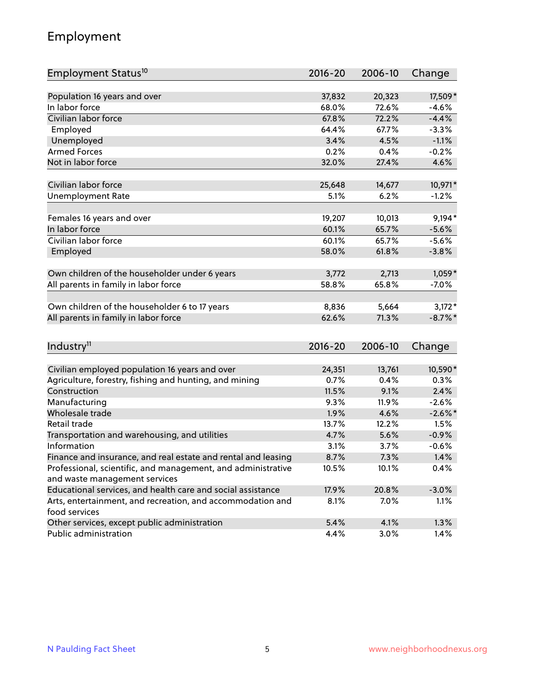## Employment

| Employment Status <sup>10</sup>                               | $2016 - 20$  | 2006-10       | Change                |
|---------------------------------------------------------------|--------------|---------------|-----------------------|
|                                                               |              |               |                       |
| Population 16 years and over                                  | 37,832       | 20,323        | 17,509*               |
| In labor force                                                | 68.0%        | 72.6%         | $-4.6%$               |
| Civilian labor force                                          | 67.8%        | 72.2%         | $-4.4%$               |
| Employed                                                      | 64.4%        | 67.7%         | $-3.3%$               |
| Unemployed                                                    | 3.4%         | 4.5%          | $-1.1%$               |
| <b>Armed Forces</b>                                           | 0.2%         | 0.4%          | $-0.2%$               |
| Not in labor force                                            | 32.0%        | 27.4%         | 4.6%                  |
| Civilian labor force                                          | 25,648       | 14,677        | 10,971*               |
| <b>Unemployment Rate</b>                                      | 5.1%         | 6.2%          | $-1.2%$               |
|                                                               |              |               |                       |
| Females 16 years and over                                     | 19,207       | 10,013        | $9,194*$              |
| In labor force                                                | 60.1%        | 65.7%         | $-5.6%$               |
| Civilian labor force                                          | 60.1%        | 65.7%         | $-5.6%$               |
| Employed                                                      | 58.0%        | 61.8%         | $-3.8%$               |
| Own children of the householder under 6 years                 | 3,772        | 2,713         | $1,059*$              |
| All parents in family in labor force                          | 58.8%        | 65.8%         | $-7.0%$               |
|                                                               |              |               |                       |
| Own children of the householder 6 to 17 years                 | 8,836        | 5,664         | $3,172*$              |
| All parents in family in labor force                          | 62.6%        | 71.3%         | $-8.7\%$ *            |
|                                                               |              |               |                       |
| Industry <sup>11</sup>                                        | $2016 - 20$  | 2006-10       | Change                |
|                                                               |              |               |                       |
| Civilian employed population 16 years and over                | 24,351       | 13,761        | 10,590*               |
| Agriculture, forestry, fishing and hunting, and mining        | 0.7%         | 0.4%          | 0.3%                  |
| Construction                                                  | 11.5%        | 9.1%          | 2.4%                  |
| Manufacturing<br>Wholesale trade                              | 9.3%<br>1.9% | 11.9%<br>4.6% | $-2.6%$<br>$-2.6\%$ * |
| Retail trade                                                  | 13.7%        | 12.2%         | 1.5%                  |
|                                                               | 4.7%         | 5.6%          | $-0.9%$               |
| Transportation and warehousing, and utilities<br>Information  | 3.1%         | 3.7%          | $-0.6%$               |
| Finance and insurance, and real estate and rental and leasing | 8.7%         | 7.3%          | 1.4%                  |
| Professional, scientific, and management, and administrative  |              | 10.1%         |                       |
| and waste management services                                 | 10.5%        |               | 0.4%                  |
| Educational services, and health care and social assistance   | 17.9%        | 20.8%         | $-3.0%$               |
| Arts, entertainment, and recreation, and accommodation and    | 8.1%         | 7.0%          | 1.1%                  |
| food services                                                 |              |               |                       |
| Other services, except public administration                  | 5.4%         | 4.1%          | 1.3%                  |
| Public administration                                         | 4.4%         | 3.0%          | 1.4%                  |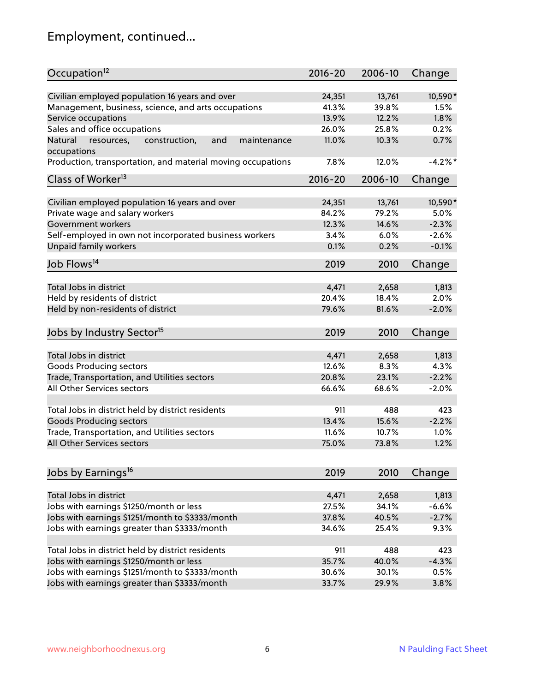# Employment, continued...

| Occupation <sup>12</sup>                                                    | $2016 - 20$ | 2006-10 | Change  |
|-----------------------------------------------------------------------------|-------------|---------|---------|
| Civilian employed population 16 years and over                              | 24,351      | 13,761  | 10,590* |
| Management, business, science, and arts occupations                         | 41.3%       | 39.8%   | 1.5%    |
| Service occupations                                                         | 13.9%       | 12.2%   | 1.8%    |
| Sales and office occupations                                                | 26.0%       | 25.8%   | 0.2%    |
|                                                                             | 11.0%       |         | 0.7%    |
| Natural<br>and<br>resources,<br>construction,<br>maintenance<br>occupations |             | 10.3%   |         |
| Production, transportation, and material moving occupations                 | 7.8%        | 12.0%   | $-4.2%$ |
| Class of Worker <sup>13</sup>                                               | $2016 - 20$ | 2006-10 | Change  |
|                                                                             |             |         |         |
| Civilian employed population 16 years and over                              | 24,351      | 13,761  | 10,590* |
| Private wage and salary workers                                             | 84.2%       | 79.2%   | 5.0%    |
| Government workers                                                          | 12.3%       | 14.6%   | $-2.3%$ |
| Self-employed in own not incorporated business workers                      | 3.4%        | 6.0%    | $-2.6%$ |
| Unpaid family workers                                                       | 0.1%        | 0.2%    | $-0.1%$ |
| Job Flows <sup>14</sup>                                                     | 2019        | 2010    | Change  |
|                                                                             |             |         |         |
| Total Jobs in district                                                      | 4,471       | 2,658   | 1,813   |
| Held by residents of district                                               | 20.4%       | 18.4%   | 2.0%    |
| Held by non-residents of district                                           | 79.6%       | 81.6%   | $-2.0%$ |
| Jobs by Industry Sector <sup>15</sup>                                       | 2019        | 2010    | Change  |
|                                                                             |             |         |         |
| Total Jobs in district                                                      | 4,471       | 2,658   | 1,813   |
| Goods Producing sectors                                                     | 12.6%       | 8.3%    | 4.3%    |
| Trade, Transportation, and Utilities sectors                                | 20.8%       | 23.1%   | $-2.2%$ |
| All Other Services sectors                                                  | 66.6%       | 68.6%   | $-2.0%$ |
|                                                                             |             |         |         |
| Total Jobs in district held by district residents                           | 911         | 488     | 423     |
| <b>Goods Producing sectors</b>                                              | 13.4%       | 15.6%   | $-2.2%$ |
| Trade, Transportation, and Utilities sectors                                | 11.6%       | 10.7%   | 1.0%    |
| All Other Services sectors                                                  | 75.0%       | 73.8%   | 1.2%    |
|                                                                             |             |         |         |
| Jobs by Earnings <sup>16</sup>                                              | 2019        | 2010    | Change  |
|                                                                             |             |         |         |
| Total Jobs in district                                                      | 4,471       | 2,658   | 1,813   |
| Jobs with earnings \$1250/month or less                                     | 27.5%       | 34.1%   | $-6.6%$ |
| Jobs with earnings \$1251/month to \$3333/month                             | 37.8%       | 40.5%   | $-2.7%$ |
| Jobs with earnings greater than \$3333/month                                | 34.6%       | 25.4%   | 9.3%    |
| Total Jobs in district held by district residents                           | 911         | 488     | 423     |
| Jobs with earnings \$1250/month or less                                     | 35.7%       | 40.0%   | $-4.3%$ |
| Jobs with earnings \$1251/month to \$3333/month                             | 30.6%       | 30.1%   | 0.5%    |
| Jobs with earnings greater than \$3333/month                                | 33.7%       | 29.9%   | 3.8%    |
|                                                                             |             |         |         |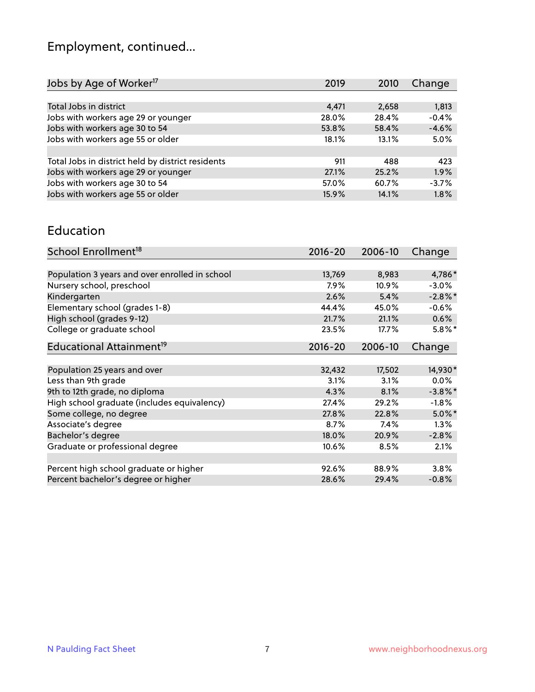# Employment, continued...

| Change<br>2019<br>2010    |
|---------------------------|
|                           |
| 1,813<br>4,471<br>2,658   |
| $-0.4%$<br>28.4%<br>28.0% |
| $-4.6%$<br>53.8%<br>58.4% |
| 5.0%<br>18.1%<br>13.1%    |
|                           |
| 423<br>911<br>488         |
| 1.9%<br>27.1%<br>25.2%    |
| $-3.7%$<br>60.7%<br>57.0% |
| 1.8%<br>15.9%<br>14.1%    |
|                           |

#### Education

| School Enrollment <sup>18</sup>                | $2016 - 20$ | 2006-10 | Change     |
|------------------------------------------------|-------------|---------|------------|
|                                                |             |         |            |
| Population 3 years and over enrolled in school | 13,769      | 8,983   | 4,786*     |
| Nursery school, preschool                      | $7.9\%$     | 10.9%   | $-3.0\%$   |
| Kindergarten                                   | 2.6%        | 5.4%    | $-2.8\%$ * |
| Elementary school (grades 1-8)                 | 44.4%       | 45.0%   | $-0.6%$    |
| High school (grades 9-12)                      | 21.7%       | 21.1%   | 0.6%       |
| College or graduate school                     | 23.5%       | 17.7%   | $5.8\%$ *  |
| Educational Attainment <sup>19</sup>           | $2016 - 20$ | 2006-10 | Change     |
|                                                |             |         |            |
| Population 25 years and over                   | 32,432      | 17,502  | 14,930*    |
| Less than 9th grade                            | 3.1%        | 3.1%    | $0.0\%$    |
| 9th to 12th grade, no diploma                  | 4.3%        | 8.1%    | $-3.8\%$ * |
| High school graduate (includes equivalency)    | 27.4%       | 29.2%   | $-1.8%$    |
| Some college, no degree                        | 27.8%       | 22.8%   | $5.0\%$ *  |
| Associate's degree                             | 8.7%        | 7.4%    | 1.3%       |
| Bachelor's degree                              | 18.0%       | 20.9%   | $-2.8%$    |
| Graduate or professional degree                | 10.6%       | 8.5%    | 2.1%       |
|                                                |             |         |            |
| Percent high school graduate or higher         | 92.6%       | 88.9%   | 3.8%       |
| Percent bachelor's degree or higher            | 28.6%       | 29.4%   | $-0.8%$    |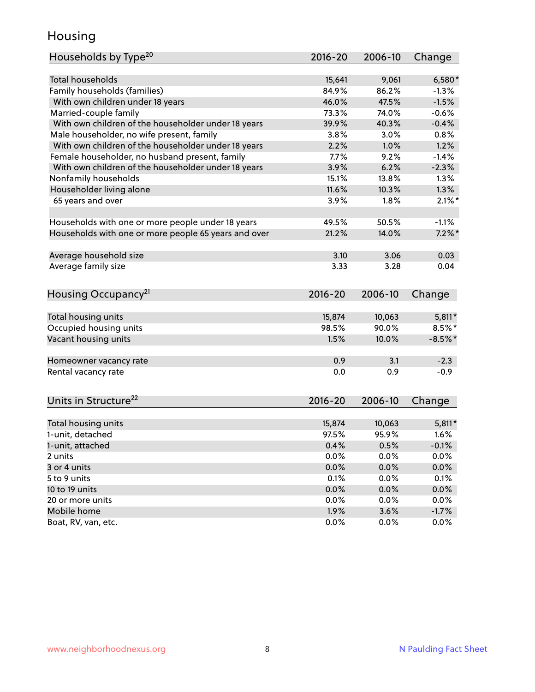## Housing

| Households by Type <sup>20</sup>                     | 2016-20 | 2006-10 | Change    |
|------------------------------------------------------|---------|---------|-----------|
|                                                      |         |         |           |
| <b>Total households</b>                              | 15,641  | 9,061   | $6,580*$  |
| Family households (families)                         | 84.9%   | 86.2%   | $-1.3%$   |
| With own children under 18 years                     | 46.0%   | 47.5%   | $-1.5%$   |
| Married-couple family                                | 73.3%   | 74.0%   | $-0.6%$   |
| With own children of the householder under 18 years  | 39.9%   | 40.3%   | $-0.4%$   |
| Male householder, no wife present, family            | 3.8%    | 3.0%    | 0.8%      |
| With own children of the householder under 18 years  | 2.2%    | 1.0%    | 1.2%      |
| Female householder, no husband present, family       | 7.7%    | 9.2%    | $-1.4%$   |
| With own children of the householder under 18 years  | 3.9%    | 6.2%    | $-2.3%$   |
| Nonfamily households                                 | 15.1%   | 13.8%   | 1.3%      |
| Householder living alone                             | 11.6%   | 10.3%   | 1.3%      |
| 65 years and over                                    | 3.9%    | 1.8%    | $2.1\%$ * |
|                                                      |         |         |           |
| Households with one or more people under 18 years    | 49.5%   | 50.5%   | $-1.1%$   |
| Households with one or more people 65 years and over | 21.2%   | 14.0%   | $7.2\%$ * |
|                                                      |         |         |           |
| Average household size                               | 3.10    | 3.06    | 0.03      |
| Average family size                                  | 3.33    | 3.28    | 0.04      |
|                                                      |         |         |           |
| Housing Occupancy <sup>21</sup>                      | 2016-20 | 2006-10 | Change    |
|                                                      |         |         |           |
| Total housing units                                  | 15,874  | 10,063  | $5,811*$  |
| Occupied housing units                               | 98.5%   | 90.0%   | $8.5\%$ * |
| Vacant housing units                                 | 1.5%    | 10.0%   | $-8.5%$ * |
|                                                      |         |         |           |
| Homeowner vacancy rate                               | 0.9     | 3.1     | $-2.3$    |
| Rental vacancy rate                                  | 0.0     | 0.9     | $-0.9$    |
|                                                      |         |         |           |
|                                                      |         |         |           |
| Units in Structure <sup>22</sup>                     | 2016-20 | 2006-10 | Change    |
| Total housing units                                  | 15,874  | 10,063  | $5,811*$  |
| 1-unit, detached                                     | 97.5%   | 95.9%   | 1.6%      |
|                                                      |         |         |           |
| 1-unit, attached                                     | 0.4%    | 0.5%    | $-0.1%$   |
| 2 units                                              | 0.0%    | 0.0%    | 0.0%      |
| 3 or 4 units                                         | 0.0%    | 0.0%    | 0.0%      |
| 5 to 9 units                                         | 0.1%    | 0.0%    | 0.1%      |
| 10 to 19 units                                       | 0.0%    | 0.0%    | 0.0%      |
| 20 or more units                                     | $0.0\%$ | 0.0%    | 0.0%      |
| Mobile home                                          | 1.9%    | 3.6%    | $-1.7\%$  |
| Boat, RV, van, etc.                                  | 0.0%    | $0.0\%$ | $0.0\%$   |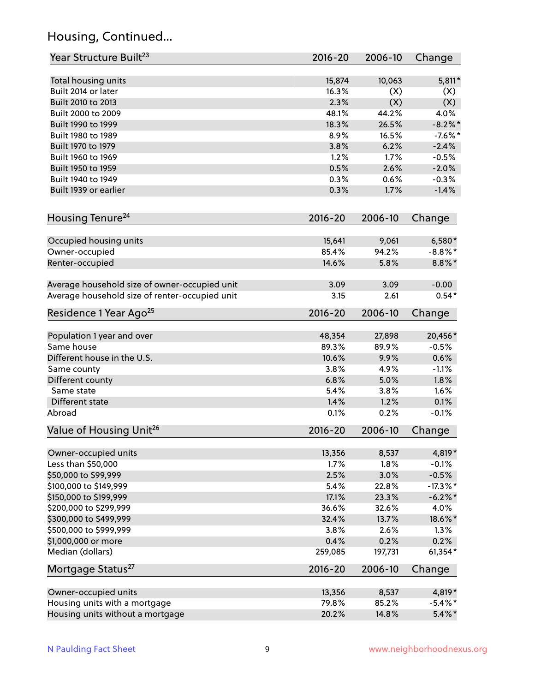## Housing, Continued...

| Year Structure Built <sup>23</sup>             | 2016-20     | 2006-10 | Change      |
|------------------------------------------------|-------------|---------|-------------|
| Total housing units                            | 15,874      | 10,063  | $5,811*$    |
| Built 2014 or later                            | 16.3%       | (X)     | (X)         |
| Built 2010 to 2013                             | 2.3%        | (X)     | (X)         |
| Built 2000 to 2009                             | 48.1%       | 44.2%   | 4.0%        |
| Built 1990 to 1999                             | 18.3%       | 26.5%   | $-8.2\%$ *  |
| Built 1980 to 1989                             | 8.9%        | 16.5%   | $-7.6\%$ *  |
| Built 1970 to 1979                             | 3.8%        | 6.2%    | $-2.4%$     |
| Built 1960 to 1969                             | 1.2%        | 1.7%    | $-0.5%$     |
| Built 1950 to 1959                             | 0.5%        | 2.6%    | $-2.0%$     |
| Built 1940 to 1949                             | 0.3%        | 0.6%    | $-0.3%$     |
| Built 1939 or earlier                          | 0.3%        | 1.7%    | $-1.4%$     |
| Housing Tenure <sup>24</sup>                   | $2016 - 20$ | 2006-10 | Change      |
|                                                |             |         |             |
| Occupied housing units                         | 15,641      | 9,061   | $6,580*$    |
| Owner-occupied                                 | 85.4%       | 94.2%   | $-8.8\%$ *  |
| Renter-occupied                                | 14.6%       | 5.8%    | $8.8\%$ *   |
| Average household size of owner-occupied unit  | 3.09        | 3.09    | $-0.00$     |
| Average household size of renter-occupied unit | 3.15        | 2.61    | $0.54*$     |
| Residence 1 Year Ago <sup>25</sup>             | $2016 - 20$ | 2006-10 | Change      |
|                                                |             |         |             |
| Population 1 year and over                     | 48,354      | 27,898  | 20,456*     |
| Same house                                     | 89.3%       | 89.9%   | $-0.5%$     |
| Different house in the U.S.                    | 10.6%       | 9.9%    | 0.6%        |
| Same county                                    | 3.8%        | 4.9%    | $-1.1%$     |
| Different county                               | 6.8%        | 5.0%    | 1.8%        |
| Same state                                     | 5.4%        | 3.8%    | 1.6%        |
| Different state                                | 1.4%        | 1.2%    | 0.1%        |
| Abroad                                         | 0.1%        | 0.2%    | $-0.1%$     |
| Value of Housing Unit <sup>26</sup>            | $2016 - 20$ | 2006-10 | Change      |
| Owner-occupied units                           | 13,356      | 8,537   | 4,819*      |
| Less than \$50,000                             | 1.7%        | 1.8%    | $-0.1%$     |
| \$50,000 to \$99,999                           | 2.5%        | 3.0%    | $-0.5%$     |
| \$100,000 to \$149,999                         | 5.4%        | 22.8%   | $-17.3\%$ * |
| \$150,000 to \$199,999                         | 17.1%       | 23.3%   | $-6.2\%$ *  |
| \$200,000 to \$299,999                         | 36.6%       | 32.6%   | 4.0%        |
| \$300,000 to \$499,999                         | 32.4%       | 13.7%   | 18.6%*      |
| \$500,000 to \$999,999                         | 3.8%        | 2.6%    | 1.3%        |
| \$1,000,000 or more                            | 0.4%        | 0.2%    | 0.2%        |
| Median (dollars)                               | 259,085     | 197,731 | 61,354*     |
| Mortgage Status <sup>27</sup>                  | $2016 - 20$ | 2006-10 | Change      |
| Owner-occupied units                           | 13,356      | 8,537   | 4,819*      |
| Housing units with a mortgage                  | 79.8%       | 85.2%   | $-5.4\%$ *  |
| Housing units without a mortgage               | 20.2%       | 14.8%   | $5.4\%$ *   |
|                                                |             |         |             |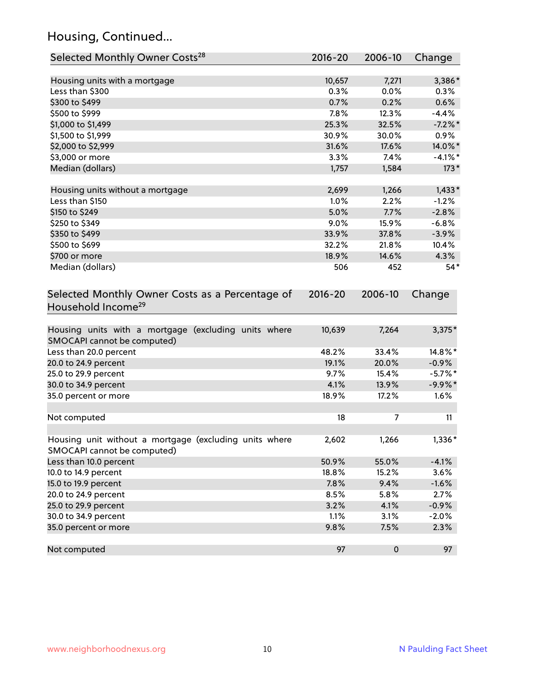## Housing, Continued...

| Selected Monthly Owner Costs <sup>28</sup>                                            | 2016-20     | 2006-10 | Change     |
|---------------------------------------------------------------------------------------|-------------|---------|------------|
| Housing units with a mortgage                                                         | 10,657      | 7,271   | 3,386*     |
| Less than \$300                                                                       | 0.3%        | 0.0%    | 0.3%       |
| \$300 to \$499                                                                        | 0.7%        | 0.2%    | 0.6%       |
| \$500 to \$999                                                                        | 7.8%        | 12.3%   | $-4.4%$    |
| \$1,000 to \$1,499                                                                    | 25.3%       | 32.5%   | $-7.2\%$ * |
| \$1,500 to \$1,999                                                                    | 30.9%       | 30.0%   | $0.9\%$    |
| \$2,000 to \$2,999                                                                    | 31.6%       | 17.6%   | 14.0%*     |
| \$3,000 or more                                                                       | 3.3%        | 7.4%    | $-4.1%$ *  |
| Median (dollars)                                                                      | 1,757       | 1,584   | $173*$     |
| Housing units without a mortgage                                                      | 2,699       | 1,266   | $1,433*$   |
| Less than \$150                                                                       | 1.0%        | 2.2%    | $-1.2%$    |
| \$150 to \$249                                                                        | 5.0%        | 7.7%    | $-2.8%$    |
| \$250 to \$349                                                                        | 9.0%        | 15.9%   | $-6.8%$    |
| \$350 to \$499                                                                        | 33.9%       | 37.8%   | $-3.9%$    |
| \$500 to \$699                                                                        | 32.2%       | 21.8%   | 10.4%      |
| \$700 or more                                                                         | 18.9%       | 14.6%   | 4.3%       |
| Median (dollars)                                                                      | 506         | 452     | $54*$      |
| Selected Monthly Owner Costs as a Percentage of<br>Household Income <sup>29</sup>     | $2016 - 20$ | 2006-10 | Change     |
| Housing units with a mortgage (excluding units where<br>SMOCAPI cannot be computed)   | 10,639      | 7,264   | $3,375*$   |
| Less than 20.0 percent                                                                | 48.2%       | 33.4%   | 14.8%*     |
| 20.0 to 24.9 percent                                                                  | 19.1%       | 20.0%   | $-0.9%$    |
| 25.0 to 29.9 percent                                                                  | 9.7%        | 15.4%   | $-5.7\%$ * |
| 30.0 to 34.9 percent                                                                  | 4.1%        | 13.9%   | $-9.9\%*$  |
| 35.0 percent or more                                                                  | 18.9%       | 17.2%   | 1.6%       |
| Not computed                                                                          | 18          | 7       | 11         |
| Housing unit without a mortgage (excluding units where<br>SMOCAPI cannot be computed) | 2,602       | 1,266   | 1,336*     |
| Less than 10.0 percent                                                                | 50.9%       | 55.0%   | $-4.1%$    |
| 10.0 to 14.9 percent                                                                  | 18.8%       | 15.2%   | 3.6%       |
| 15.0 to 19.9 percent                                                                  | 7.8%        | 9.4%    | $-1.6%$    |
| 20.0 to 24.9 percent                                                                  | 8.5%        | 5.8%    | 2.7%       |
| 25.0 to 29.9 percent                                                                  | 3.2%        | 4.1%    | $-0.9%$    |
| 30.0 to 34.9 percent                                                                  | 1.1%        | 3.1%    | $-2.0%$    |
| 35.0 percent or more                                                                  | 9.8%        | 7.5%    | 2.3%       |
| Not computed                                                                          | 97          | 0       | 97         |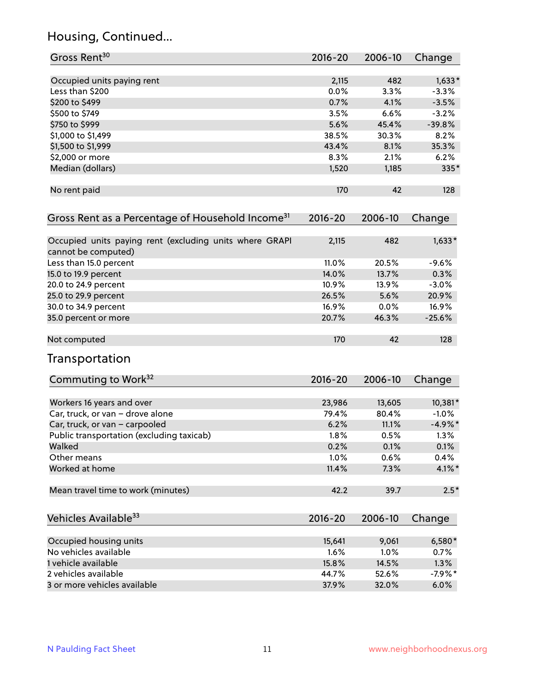## Housing, Continued...

| Gross Rent <sup>30</sup>                                                       | 2016-20     | 2006-10 | Change     |
|--------------------------------------------------------------------------------|-------------|---------|------------|
| Occupied units paying rent                                                     | 2,115       | 482     | $1,633*$   |
| Less than \$200                                                                | 0.0%        | 3.3%    | $-3.3%$    |
| \$200 to \$499                                                                 | 0.7%        | 4.1%    | $-3.5%$    |
| \$500 to \$749                                                                 | 3.5%        | 6.6%    | $-3.2%$    |
| \$750 to \$999                                                                 | 5.6%        | 45.4%   | $-39.8%$   |
| \$1,000 to \$1,499                                                             | 38.5%       | 30.3%   | 8.2%       |
| \$1,500 to \$1,999                                                             | 43.4%       | 8.1%    | 35.3%      |
| \$2,000 or more                                                                | 8.3%        | 2.1%    | 6.2%       |
| Median (dollars)                                                               | 1,520       | 1,185   | 335*       |
| No rent paid                                                                   | 170         | 42      | 128        |
| Gross Rent as a Percentage of Household Income <sup>31</sup>                   | 2016-20     | 2006-10 | Change     |
| Occupied units paying rent (excluding units where GRAPI<br>cannot be computed) | 2,115       | 482     | $1,633*$   |
| Less than 15.0 percent                                                         | 11.0%       | 20.5%   | $-9.6%$    |
| 15.0 to 19.9 percent                                                           | 14.0%       | 13.7%   | 0.3%       |
| 20.0 to 24.9 percent                                                           | 10.9%       | 13.9%   | $-3.0%$    |
| 25.0 to 29.9 percent                                                           | 26.5%       | 5.6%    | 20.9%      |
| 30.0 to 34.9 percent                                                           | 16.9%       | 0.0%    | 16.9%      |
| 35.0 percent or more                                                           | 20.7%       | 46.3%   | $-25.6%$   |
| Not computed                                                                   | 170         | 42      | 128        |
| Transportation                                                                 |             |         |            |
| Commuting to Work <sup>32</sup>                                                | 2016-20     | 2006-10 | Change     |
| Workers 16 years and over                                                      | 23,986      | 13,605  | 10,381*    |
| Car, truck, or van - drove alone                                               | 79.4%       | 80.4%   | $-1.0%$    |
| Car, truck, or van - carpooled                                                 | 6.2%        | 11.1%   | $-4.9\%$ * |
| Public transportation (excluding taxicab)                                      | 1.8%        | 0.5%    | 1.3%       |
| Walked                                                                         | 0.2%        | 0.1%    | 0.1%       |
| Other means                                                                    | 1.0%        | 0.6%    | 0.4%       |
| Worked at home                                                                 | 11.4%       | 7.3%    | $4.1\%$ *  |
| Mean travel time to work (minutes)                                             | 42.2        | 39.7    | $2.5*$     |
| Vehicles Available <sup>33</sup>                                               | $2016 - 20$ | 2006-10 | Change     |
| Occupied housing units                                                         | 15,641      | 9,061   | 6,580*     |
| No vehicles available                                                          | 1.6%        | 1.0%    | 0.7%       |
| 1 vehicle available                                                            | 15.8%       | 14.5%   | 1.3%       |
| 2 vehicles available                                                           | 44.7%       | 52.6%   | $-7.9%$ *  |
| 3 or more vehicles available                                                   | 37.9%       | 32.0%   | 6.0%       |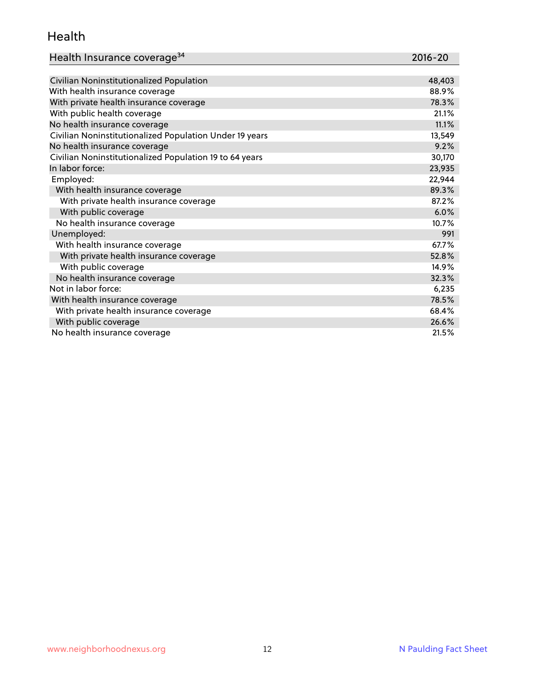#### Health

| Health Insurance coverage <sup>34</sup> | 2016-20 |
|-----------------------------------------|---------|
|-----------------------------------------|---------|

| Civilian Noninstitutionalized Population                | 48,403 |
|---------------------------------------------------------|--------|
| With health insurance coverage                          | 88.9%  |
| With private health insurance coverage                  | 78.3%  |
| With public health coverage                             | 21.1%  |
| No health insurance coverage                            | 11.1%  |
| Civilian Noninstitutionalized Population Under 19 years | 13,549 |
| No health insurance coverage                            | 9.2%   |
| Civilian Noninstitutionalized Population 19 to 64 years | 30,170 |
| In labor force:                                         | 23,935 |
| Employed:                                               | 22,944 |
| With health insurance coverage                          | 89.3%  |
| With private health insurance coverage                  | 87.2%  |
| With public coverage                                    | 6.0%   |
| No health insurance coverage                            | 10.7%  |
| Unemployed:                                             | 991    |
| With health insurance coverage                          | 67.7%  |
| With private health insurance coverage                  | 52.8%  |
| With public coverage                                    | 14.9%  |
| No health insurance coverage                            | 32.3%  |
| Not in labor force:                                     | 6,235  |
| With health insurance coverage                          | 78.5%  |
| With private health insurance coverage                  | 68.4%  |
| With public coverage                                    | 26.6%  |
| No health insurance coverage                            | 21.5%  |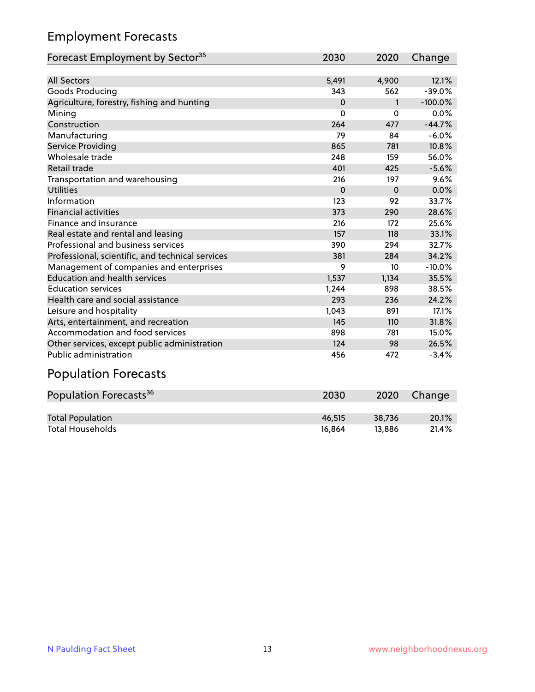## Employment Forecasts

| Forecast Employment by Sector <sup>35</sup>      | 2030     | 2020         | Change    |
|--------------------------------------------------|----------|--------------|-----------|
|                                                  |          |              |           |
| <b>All Sectors</b>                               | 5,491    | 4,900        | 12.1%     |
| Goods Producing                                  | 343      | 562          | $-39.0%$  |
| Agriculture, forestry, fishing and hunting       | $\Omega$ | $\mathbf{1}$ | $-100.0%$ |
| Mining                                           | 0        | $\Omega$     | 0.0%      |
| Construction                                     | 264      | 477          | $-44.7%$  |
| Manufacturing                                    | 79       | 84           | $-6.0%$   |
| Service Providing                                | 865      | 781          | 10.8%     |
| Wholesale trade                                  | 248      | 159          | 56.0%     |
| Retail trade                                     | 401      | 425          | $-5.6%$   |
| Transportation and warehousing                   | 216      | 197          | 9.6%      |
| Utilities                                        | $\Omega$ | $\Omega$     | 0.0%      |
| Information                                      | 123      | 92           | 33.7%     |
| <b>Financial activities</b>                      | 373      | 290          | 28.6%     |
| Finance and insurance                            | 216      | 172          | 25.6%     |
| Real estate and rental and leasing               | 157      | 118          | 33.1%     |
| Professional and business services               | 390      | 294          | 32.7%     |
| Professional, scientific, and technical services | 381      | 284          | 34.2%     |
| Management of companies and enterprises          | 9        | 10           | $-10.0%$  |
| <b>Education and health services</b>             | 1,537    | 1,134        | 35.5%     |
| <b>Education services</b>                        | 1,244    | 898          | 38.5%     |
| Health care and social assistance                | 293      | 236          | 24.2%     |
| Leisure and hospitality                          | 1,043    | 891          | 17.1%     |
| Arts, entertainment, and recreation              | 145      | 110          | 31.8%     |
| Accommodation and food services                  | 898      | 781          | 15.0%     |
| Other services, except public administration     | 124      | 98           | 26.5%     |
| <b>Public administration</b>                     | 456      | 472          | $-3.4%$   |

## Population Forecasts

| Population Forecasts <sup>36</sup> | 2030   | 2020   | Change |
|------------------------------------|--------|--------|--------|
|                                    |        |        |        |
| <b>Total Population</b>            | 46.515 | 38.736 | 20.1%  |
| <b>Total Households</b>            | 16.864 | 13.886 | 21.4%  |